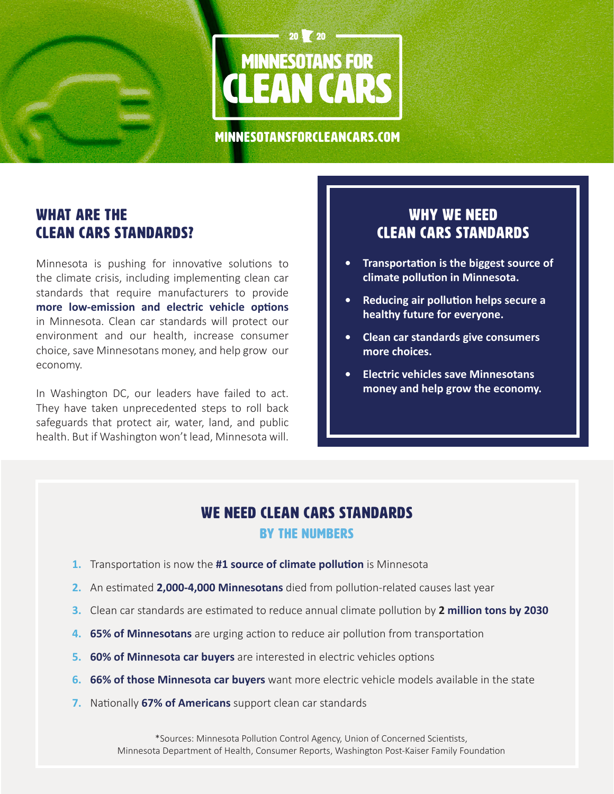

minnesotansforcleancars.com

# WHAT ARE THE CLEAN CARS STANDARDS?

Minnesota is pushing for innovative solutions to the climate crisis, including implementing clean car standards that require manufacturers to provide **more low-emission and electric vehicle options** in Minnesota. Clean car standards will protect our environment and our health, increase consumer choice, save Minnesotans money, and help grow our economy.

In Washington DC, our leaders have failed to act. They have taken unprecedented steps to roll back safeguards that protect air, water, land, and public health. But if Washington won't lead, Minnesota will.

### WHY WE NEED CLEAN CARS STANDARDS

- **•  Transportation is the biggest source of climate pollution in Minnesota.**
- **•  Reducing air pollution helps secure a healthy future for everyone.**
- **•  Clean car standards give consumers more choices.**
- **•  Electric vehicles save Minnesotans money and help grow the economy.**

# WE NEED CLEAN CARS STANDARDS BY THE NUMBERS

- **1.** Transportation is now the **#1 source of climate pollution** is Minnesota
- **2.** An estimated **2,000-4,000 Minnesotans** died from pollution-related causes last year
- **3.** Clean car standards are estimated to reduce annual climate pollution by **2 million tons by 2030**
- **4. 65% of Minnesotans** are urging action to reduce air pollution from transportation
- **5. 60% of Minnesota car buyers** are interested in electric vehicles options
- **6. 66% of those Minnesota car buyers** want more electric vehicle models available in the state
- **7.** Nationally **67% of Americans** support clean car standards

\*Sources: Minnesota Pollution Control Agency, Union of Concerned Scientists, Minnesota Department of Health, Consumer Reports, Washington Post-Kaiser Family Foundation